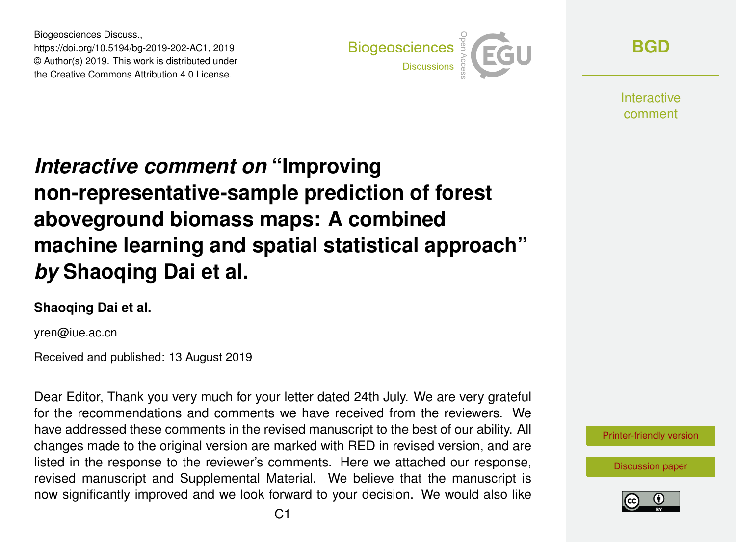Biogeosciences Discuss., https://doi.org/10.5194/bg-2019-202-AC1, 2019 © Author(s) 2019. This work is distributed under the Creative Commons Attribution 4.0 License.



**[BGD](https://www.biogeosciences-discuss.net/)**

**Interactive** comment

## *Interactive comment on* **"Improving non-representative-sample prediction of forest aboveground biomass maps: A combined machine learning and spatial statistical approach"** *by* **Shaoqing Dai et al.**

## **Shaoqing Dai et al.**

yren@iue.ac.cn

Received and published: 13 August 2019

Dear Editor, Thank you very much for your letter dated 24th July. We are very grateful for the recommendations and comments we have received from the reviewers. We have addressed these comments in the revised manuscript to the best of our ability. All changes made to the original version are marked with RED in revised version, and are listed in the response to the reviewer's comments. Here we attached our response, revised manuscript and Supplemental Material. We believe that the manuscript is now significantly improved and we look forward to your decision. We would also like



[Discussion paper](https://www.biogeosciences-discuss.net/bg-2019-202)